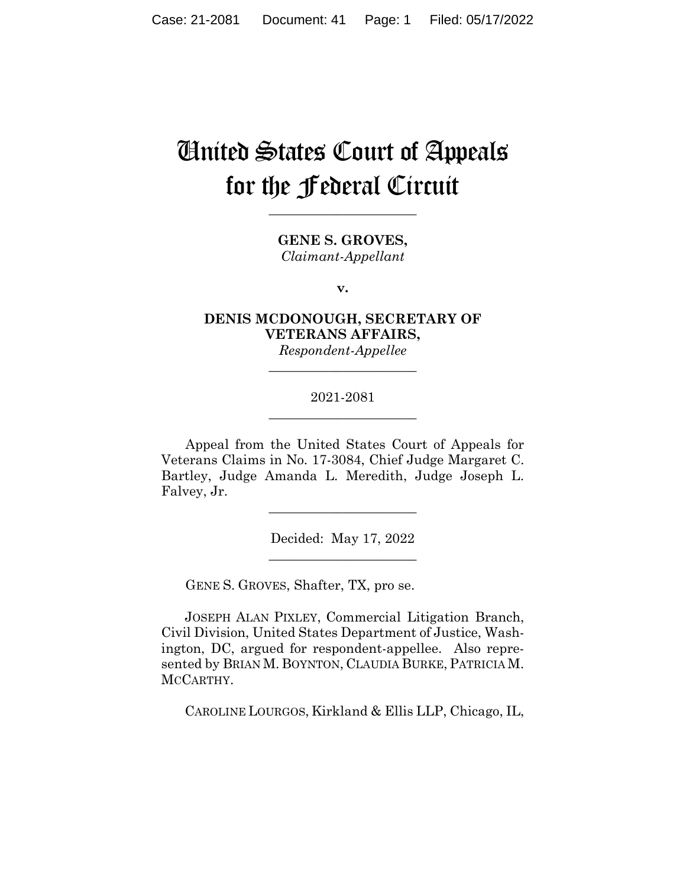# United States Court of Appeals for the Federal Circuit

**GENE S. GROVES,** *Claimant-Appellant*

**\_\_\_\_\_\_\_\_\_\_\_\_\_\_\_\_\_\_\_\_\_\_** 

**v.**

## **DENIS MCDONOUGH, SECRETARY OF VETERANS AFFAIRS,**

*Respondent-Appellee* **\_\_\_\_\_\_\_\_\_\_\_\_\_\_\_\_\_\_\_\_\_\_** 

#### 2021-2081 **\_\_\_\_\_\_\_\_\_\_\_\_\_\_\_\_\_\_\_\_\_\_**

Appeal from the United States Court of Appeals for Veterans Claims in No. 17-3084, Chief Judge Margaret C. Bartley, Judge Amanda L. Meredith, Judge Joseph L. Falvey, Jr.

> Decided: May 17, 2022  $\overline{\phantom{a}}$  , we can assume that the contract of  $\overline{\phantom{a}}$

> $\overline{\phantom{a}}$  , where  $\overline{\phantom{a}}$  , where  $\overline{\phantom{a}}$  , where  $\overline{\phantom{a}}$

GENE S. GROVES, Shafter, TX, pro se.

 JOSEPH ALAN PIXLEY, Commercial Litigation Branch, Civil Division, United States Department of Justice, Washington, DC, argued for respondent-appellee. Also represented by BRIAN M. BOYNTON, CLAUDIA BURKE, PATRICIA M. MCCARTHY.

CAROLINE LOURGOS, Kirkland & Ellis LLP, Chicago, IL,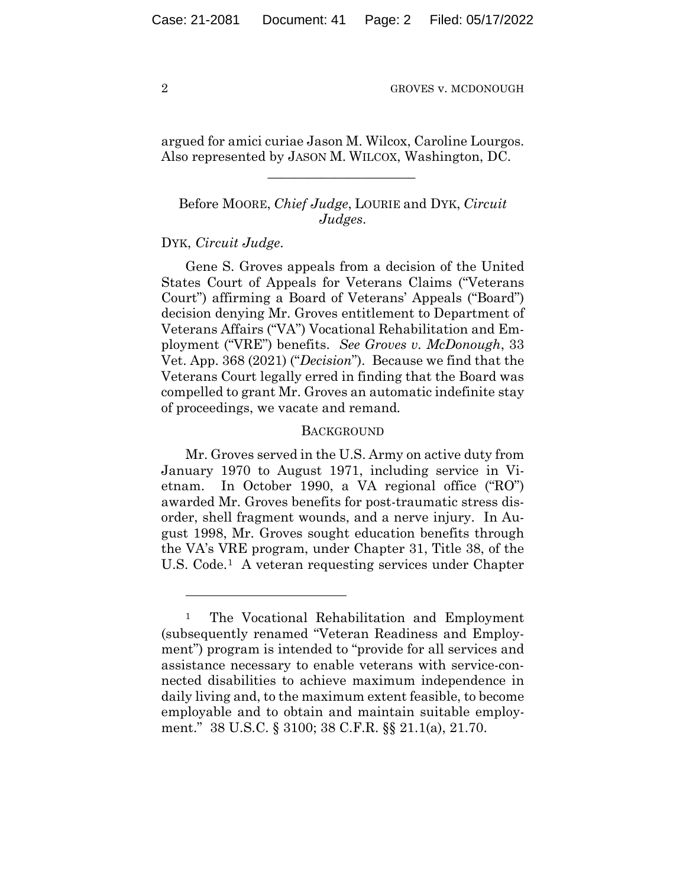argued for amici curiae Jason M. Wilcox, Caroline Lourgos. Also represented by JASON M. WILCOX, Washington, DC.

 $\mathcal{L}_\text{max}$  and  $\mathcal{L}_\text{max}$  and  $\mathcal{L}_\text{max}$  and  $\mathcal{L}_\text{max}$ 

### Before MOORE, *Chief Judge*, LOURIE and DYK, *Circuit Judges*.

#### DYK, *Circuit Judge*.

Gene S. Groves appeals from a decision of the United States Court of Appeals for Veterans Claims ("Veterans Court") affirming a Board of Veterans' Appeals ("Board") decision denying Mr. Groves entitlement to Department of Veterans Affairs ("VA") Vocational Rehabilitation and Employment ("VRE") benefits. *See Groves v. McDonough*, 33 Vet. App. 368 (2021) ("*Decision*"). Because we find that the Veterans Court legally erred in finding that the Board was compelled to grant Mr. Groves an automatic indefinite stay of proceedings, we vacate and remand*.* 

#### **BACKGROUND**

Mr. Groves served in the U.S. Army on active duty from January 1970 to August 1971, including service in Vietnam. In October 1990, a VA regional office ("RO") awarded Mr. Groves benefits for post-traumatic stress disorder, shell fragment wounds, and a nerve injury. In August 1998, Mr. Groves sought education benefits through the VA's VRE program, under Chapter 31, Title 38, of the U.S. Code.1 A veteran requesting services under Chapter

<sup>&</sup>lt;sup>1</sup> The Vocational Rehabilitation and Employment (subsequently renamed "Veteran Readiness and Employment") program is intended to "provide for all services and assistance necessary to enable veterans with service-connected disabilities to achieve maximum independence in daily living and, to the maximum extent feasible, to become employable and to obtain and maintain suitable employment." 38 U.S.C. § 3100; 38 C.F.R. §§ 21.1(a), 21.70.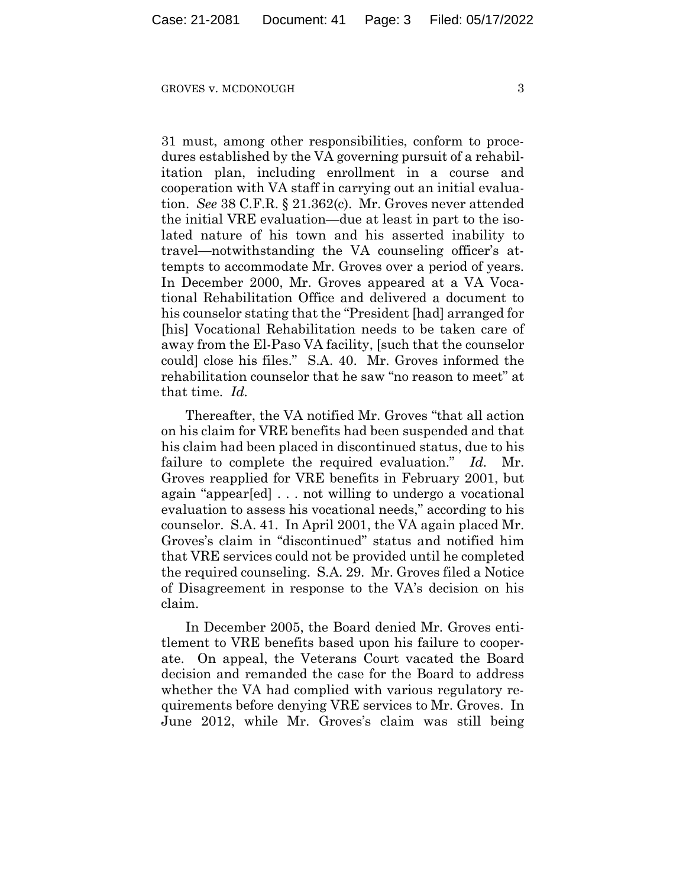31 must, among other responsibilities, conform to procedures established by the VA governing pursuit of a rehabilitation plan, including enrollment in a course and cooperation with VA staff in carrying out an initial evaluation. *See* 38 C.F.R. § 21.362(c). Mr. Groves never attended the initial VRE evaluation—due at least in part to the isolated nature of his town and his asserted inability to travel—notwithstanding the VA counseling officer's attempts to accommodate Mr. Groves over a period of years. In December 2000, Mr. Groves appeared at a VA Vocational Rehabilitation Office and delivered a document to his counselor stating that the "President [had] arranged for [his] Vocational Rehabilitation needs to be taken care of away from the El-Paso VA facility, [such that the counselor could] close his files." S.A. 40. Mr. Groves informed the rehabilitation counselor that he saw "no reason to meet" at that time. *Id.*

Thereafter, the VA notified Mr. Groves "that all action on his claim for VRE benefits had been suspended and that his claim had been placed in discontinued status, due to his failure to complete the required evaluation." *Id.* Mr. Groves reapplied for VRE benefits in February 2001, but again "appear[ed] . . . not willing to undergo a vocational evaluation to assess his vocational needs," according to his counselor. S.A. 41. In April 2001, the VA again placed Mr. Groves's claim in "discontinued" status and notified him that VRE services could not be provided until he completed the required counseling. S.A. 29. Mr. Groves filed a Notice of Disagreement in response to the VA's decision on his claim.

In December 2005, the Board denied Mr. Groves entitlement to VRE benefits based upon his failure to cooperate. On appeal, the Veterans Court vacated the Board decision and remanded the case for the Board to address whether the VA had complied with various regulatory requirements before denying VRE services to Mr. Groves. In June 2012, while Mr. Groves's claim was still being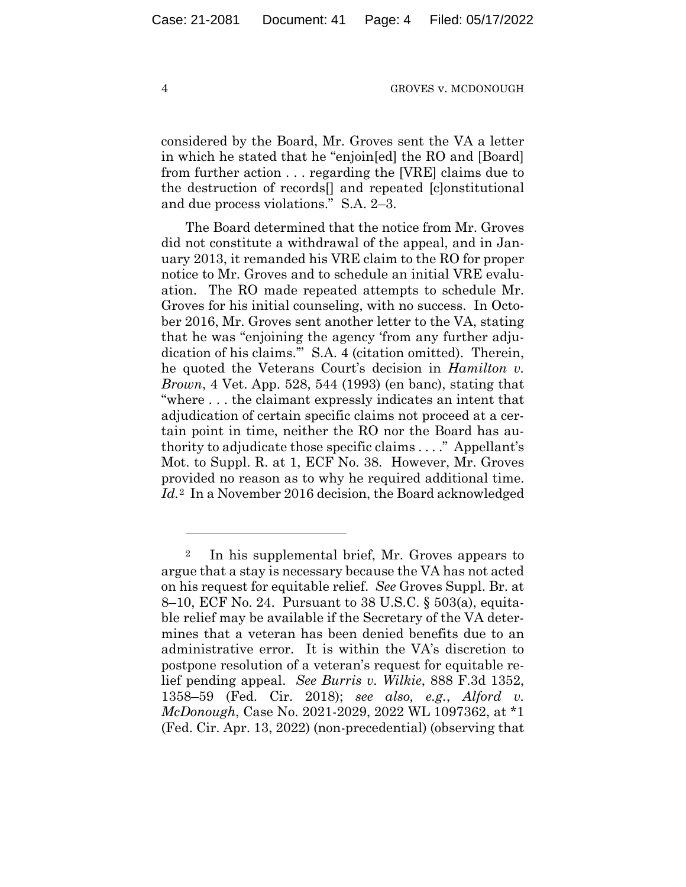considered by the Board, Mr. Groves sent the VA a letter in which he stated that he "enjoin[ed] the RO and [Board] from further action . . . regarding the [VRE] claims due to the destruction of records[] and repeated [c]onstitutional and due process violations." S.A. 2–3.

The Board determined that the notice from Mr. Groves did not constitute a withdrawal of the appeal, and in January 2013, it remanded his VRE claim to the RO for proper notice to Mr. Groves and to schedule an initial VRE evaluation. The RO made repeated attempts to schedule Mr. Groves for his initial counseling, with no success. In October 2016, Mr. Groves sent another letter to the VA, stating that he was "enjoining the agency 'from any further adjudication of his claims.'" S.A. 4 (citation omitted). Therein, he quoted the Veterans Court's decision in *Hamilton v. Brown*, 4 Vet. App. 528, 544 (1993) (en banc), stating that "where . . . the claimant expressly indicates an intent that adjudication of certain specific claims not proceed at a certain point in time, neither the RO nor the Board has authority to adjudicate those specific claims . . . ." Appellant's Mot. to Suppl. R. at 1, ECF No. 38. However, Mr. Groves provided no reason as to why he required additional time. *Id.*2 In a November 2016 decision, the Board acknowledged

<sup>2</sup> In his supplemental brief, Mr. Groves appears to argue that a stay is necessary because the VA has not acted on his request for equitable relief. *See* Groves Suppl. Br. at 8–10, ECF No. 24. Pursuant to 38 U.S.C. § 503(a), equitable relief may be available if the Secretary of the VA determines that a veteran has been denied benefits due to an administrative error. It is within the VA's discretion to postpone resolution of a veteran's request for equitable relief pending appeal. *See Burris v. Wilkie*, 888 F.3d 1352, 1358–59 (Fed. Cir. 2018); *see also, e.g.*, *Alford v. McDonough*, Case No. 2021-2029, 2022 WL 1097362, at \*1 (Fed. Cir. Apr. 13, 2022) (non-precedential) (observing that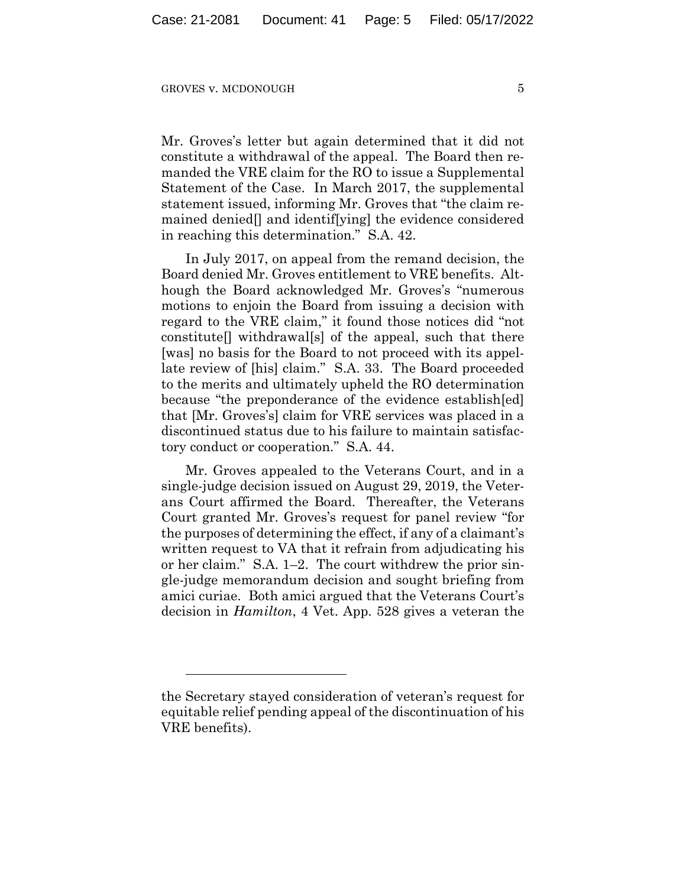Mr. Groves's letter but again determined that it did not constitute a withdrawal of the appeal. The Board then remanded the VRE claim for the RO to issue a Supplemental Statement of the Case. In March 2017, the supplemental statement issued, informing Mr. Groves that "the claim remained denied[] and identif[ying] the evidence considered in reaching this determination." S.A. 42.

In July 2017, on appeal from the remand decision, the Board denied Mr. Groves entitlement to VRE benefits. Although the Board acknowledged Mr. Groves's "numerous motions to enjoin the Board from issuing a decision with regard to the VRE claim," it found those notices did "not constitute[] withdrawal[s] of the appeal, such that there [was] no basis for the Board to not proceed with its appellate review of [his] claim." S.A. 33. The Board proceeded to the merits and ultimately upheld the RO determination because "the preponderance of the evidence establish[ed] that [Mr. Groves's] claim for VRE services was placed in a discontinued status due to his failure to maintain satisfactory conduct or cooperation." S.A. 44.

Mr. Groves appealed to the Veterans Court, and in a single-judge decision issued on August 29, 2019, the Veterans Court affirmed the Board. Thereafter, the Veterans Court granted Mr. Groves's request for panel review "for the purposes of determining the effect, if any of a claimant's written request to VA that it refrain from adjudicating his or her claim." S.A. 1–2. The court withdrew the prior single-judge memorandum decision and sought briefing from amici curiae. Both amici argued that the Veterans Court's decision in *Hamilton*, 4 Vet. App. 528 gives a veteran the

the Secretary stayed consideration of veteran's request for equitable relief pending appeal of the discontinuation of his VRE benefits).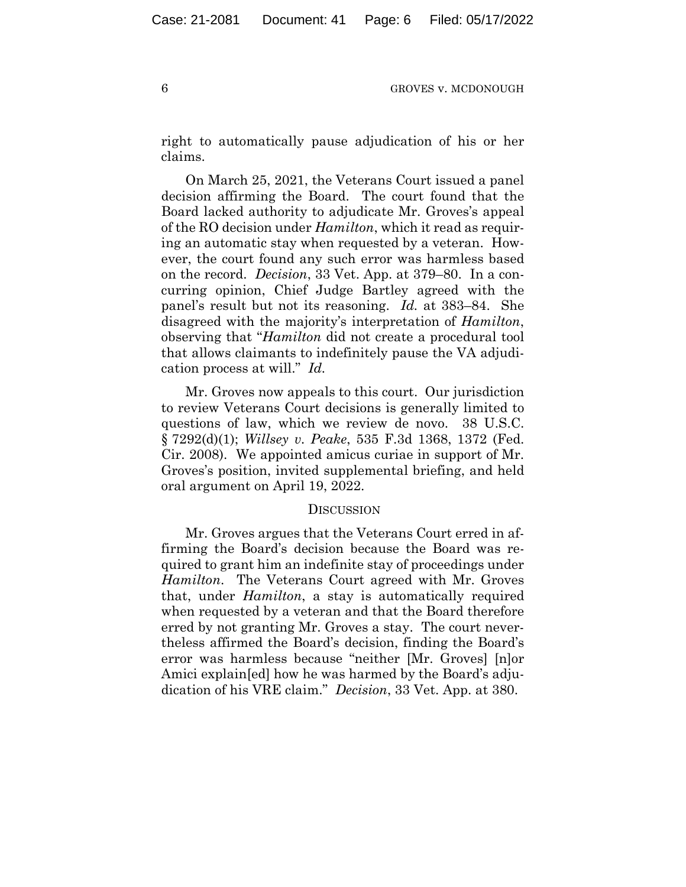right to automatically pause adjudication of his or her claims.

On March 25, 2021, the Veterans Court issued a panel decision affirming the Board. The court found that the Board lacked authority to adjudicate Mr. Groves's appeal of the RO decision under *Hamilton*, which it read as requiring an automatic stay when requested by a veteran. However, the court found any such error was harmless based on the record. *Decision*, 33 Vet. App. at 379–80. In a concurring opinion, Chief Judge Bartley agreed with the panel's result but not its reasoning. *Id.* at 383–84. She disagreed with the majority's interpretation of *Hamilton*, observing that "*Hamilton* did not create a procedural tool that allows claimants to indefinitely pause the VA adjudication process at will." *Id.*

Mr. Groves now appeals to this court. Our jurisdiction to review Veterans Court decisions is generally limited to questions of law, which we review de novo. 38 U.S.C. § 7292(d)(1); *Willsey v. Peake*, 535 F.3d 1368, 1372 (Fed. Cir. 2008). We appointed amicus curiae in support of Mr. Groves's position, invited supplemental briefing, and held oral argument on April 19, 2022.

#### **DISCUSSION**

Mr. Groves argues that the Veterans Court erred in affirming the Board's decision because the Board was required to grant him an indefinite stay of proceedings under *Hamilton*. The Veterans Court agreed with Mr. Groves that, under *Hamilton*, a stay is automatically required when requested by a veteran and that the Board therefore erred by not granting Mr. Groves a stay. The court nevertheless affirmed the Board's decision, finding the Board's error was harmless because "neither [Mr. Groves] [n]or Amici explain[ed] how he was harmed by the Board's adjudication of his VRE claim." *Decision*, 33 Vet. App. at 380.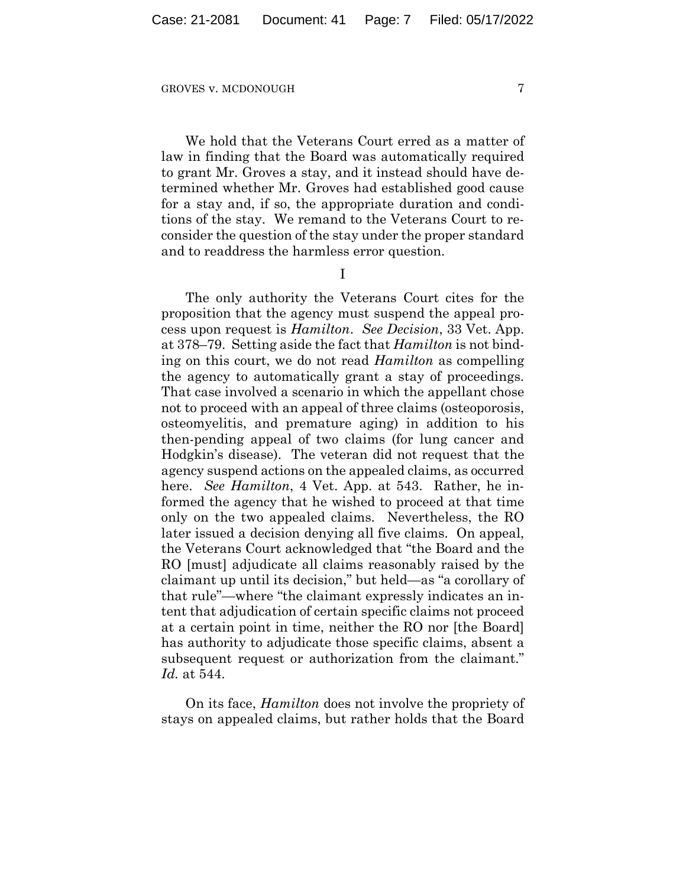We hold that the Veterans Court erred as a matter of law in finding that the Board was automatically required to grant Mr. Groves a stay, and it instead should have determined whether Mr. Groves had established good cause for a stay and, if so, the appropriate duration and conditions of the stay. We remand to the Veterans Court to reconsider the question of the stay under the proper standard and to readdress the harmless error question.

I

The only authority the Veterans Court cites for the proposition that the agency must suspend the appeal process upon request is *Hamilton*. *See Decision*, 33 Vet. App. at 378–79. Setting aside the fact that *Hamilton* is not binding on this court, we do not read *Hamilton* as compelling the agency to automatically grant a stay of proceedings. That case involved a scenario in which the appellant chose not to proceed with an appeal of three claims (osteoporosis, osteomyelitis, and premature aging) in addition to his then-pending appeal of two claims (for lung cancer and Hodgkin's disease). The veteran did not request that the agency suspend actions on the appealed claims, as occurred here. *See Hamilton*, 4 Vet. App. at 543. Rather, he informed the agency that he wished to proceed at that time only on the two appealed claims. Nevertheless, the RO later issued a decision denying all five claims. On appeal, the Veterans Court acknowledged that "the Board and the RO [must] adjudicate all claims reasonably raised by the claimant up until its decision," but held—as "a corollary of that rule"—where "the claimant expressly indicates an intent that adjudication of certain specific claims not proceed at a certain point in time, neither the RO nor [the Board] has authority to adjudicate those specific claims, absent a subsequent request or authorization from the claimant." *Id.* at 544.

On its face, *Hamilton* does not involve the propriety of stays on appealed claims, but rather holds that the Board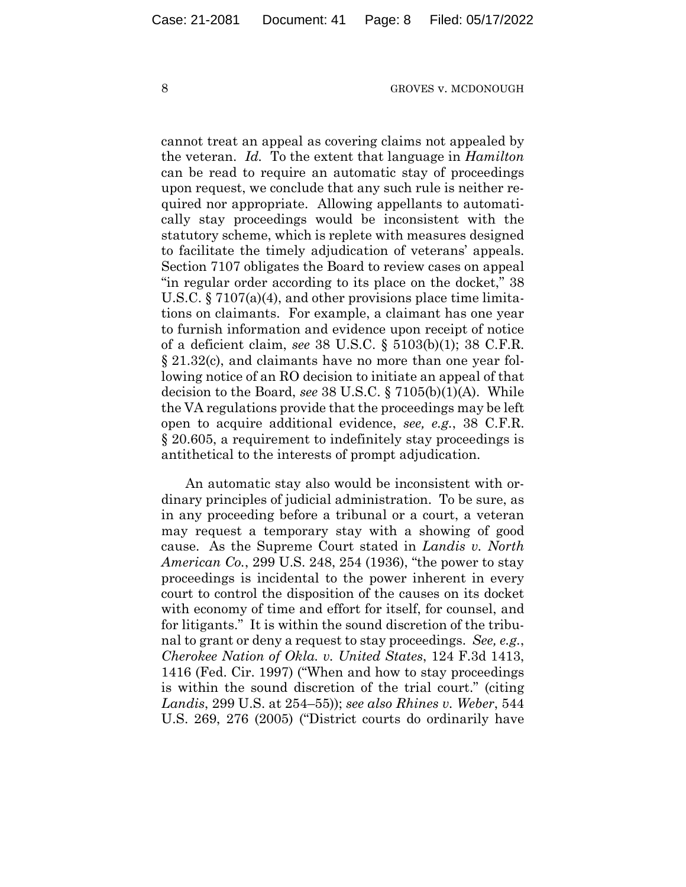cannot treat an appeal as covering claims not appealed by the veteran. *Id.* To the extent that language in *Hamilton* can be read to require an automatic stay of proceedings upon request, we conclude that any such rule is neither required nor appropriate. Allowing appellants to automatically stay proceedings would be inconsistent with the statutory scheme, which is replete with measures designed to facilitate the timely adjudication of veterans' appeals. Section 7107 obligates the Board to review cases on appeal "in regular order according to its place on the docket," 38 U.S.C. § 7107(a)(4), and other provisions place time limitations on claimants. For example, a claimant has one year to furnish information and evidence upon receipt of notice of a deficient claim, *see* 38 U.S.C. § 5103(b)(1); 38 C.F.R. § 21.32(c), and claimants have no more than one year following notice of an RO decision to initiate an appeal of that decision to the Board, *see* 38 U.S.C. § 7105(b)(1)(A). While the VA regulations provide that the proceedings may be left open to acquire additional evidence, *see, e.g.*, 38 C.F.R. § 20.605, a requirement to indefinitely stay proceedings is antithetical to the interests of prompt adjudication.

An automatic stay also would be inconsistent with ordinary principles of judicial administration. To be sure, as in any proceeding before a tribunal or a court, a veteran may request a temporary stay with a showing of good cause. As the Supreme Court stated in *Landis v. North American Co.*, 299 U.S. 248, 254 (1936), "the power to stay proceedings is incidental to the power inherent in every court to control the disposition of the causes on its docket with economy of time and effort for itself, for counsel, and for litigants." It is within the sound discretion of the tribunal to grant or deny a request to stay proceedings. *See, e.g.*, *Cherokee Nation of Okla. v. United States*, 124 F.3d 1413, 1416 (Fed. Cir. 1997) ("When and how to stay proceedings is within the sound discretion of the trial court." (citing *Landis*, 299 U.S. at 254–55)); *see also Rhines v. Weber*, 544 U.S. 269, 276 (2005) ("District courts do ordinarily have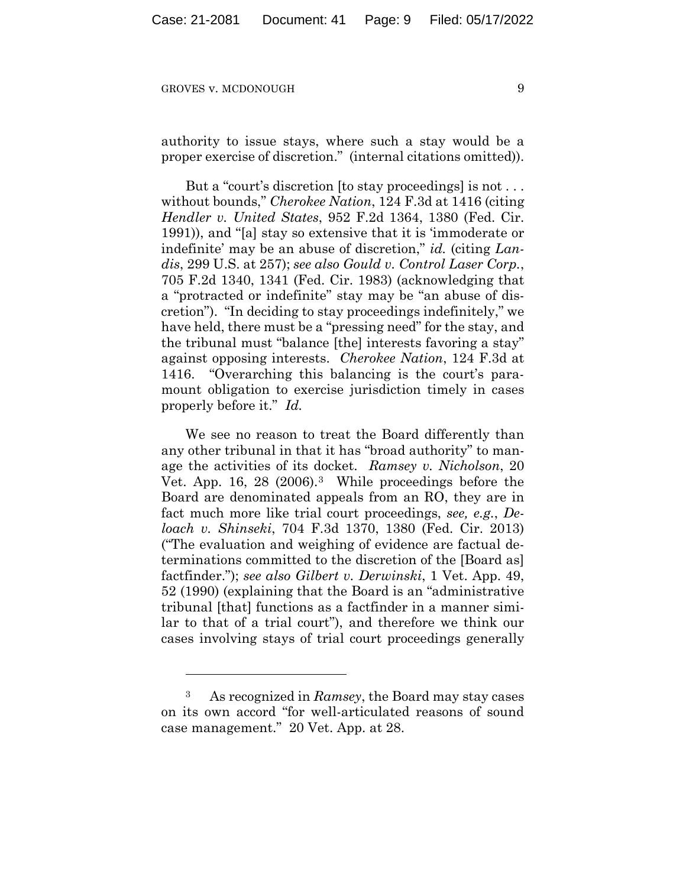authority to issue stays, where such a stay would be a proper exercise of discretion." (internal citations omitted)).

But a "court's discretion [to stay proceedings] is not . . . without bounds," *Cherokee Nation*, 124 F.3d at 1416 (citing *Hendler v. United States*, 952 F.2d 1364, 1380 (Fed. Cir. 1991)), and "[a] stay so extensive that it is 'immoderate or indefinite' may be an abuse of discretion," *id.* (citing *Landis*, 299 U.S. at 257); *see also Gould v. Control Laser Corp.*, 705 F.2d 1340, 1341 (Fed. Cir. 1983) (acknowledging that a "protracted or indefinite" stay may be "an abuse of discretion"). "In deciding to stay proceedings indefinitely," we have held, there must be a "pressing need" for the stay, and the tribunal must "balance [the] interests favoring a stay" against opposing interests. *Cherokee Nation*, 124 F.3d at 1416. "Overarching this balancing is the court's paramount obligation to exercise jurisdiction timely in cases properly before it." *Id.*

We see no reason to treat the Board differently than any other tribunal in that it has "broad authority" to manage the activities of its docket. *Ramsey v. Nicholson*, 20 Vet. App. 16, 28 (2006).3 While proceedings before the Board are denominated appeals from an RO, they are in fact much more like trial court proceedings, *see, e.g.*, *Deloach v. Shinseki*, 704 F.3d 1370, 1380 (Fed. Cir. 2013) ("The evaluation and weighing of evidence are factual determinations committed to the discretion of the [Board as] factfinder."); *see also Gilbert v. Derwinski*, 1 Vet. App. 49, 52 (1990) (explaining that the Board is an "administrative tribunal [that] functions as a factfinder in a manner similar to that of a trial court"), and therefore we think our cases involving stays of trial court proceedings generally

<sup>3</sup> As recognized in *Ramsey*, the Board may stay cases on its own accord "for well-articulated reasons of sound case management." 20 Vet. App. at 28.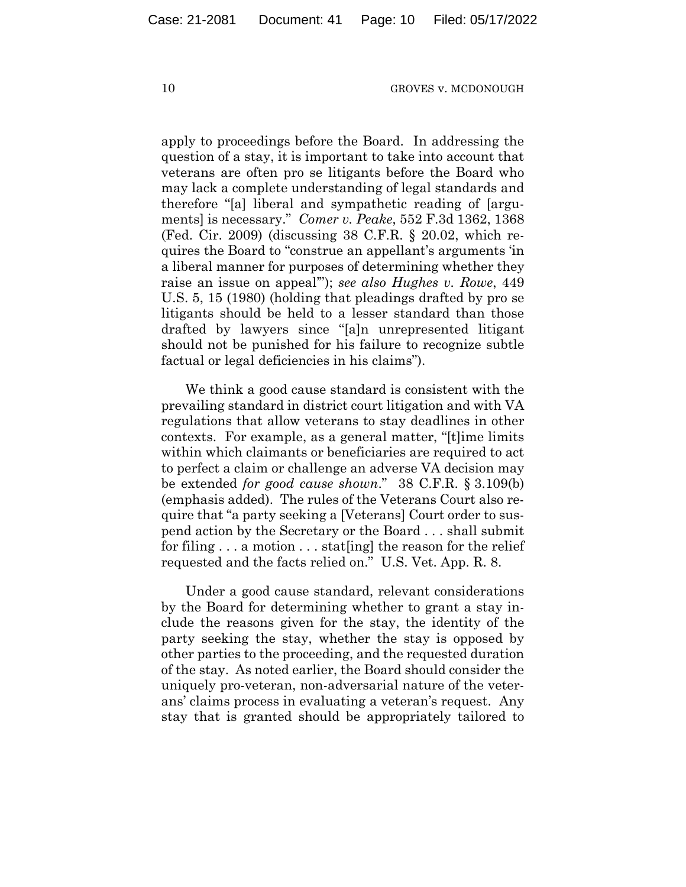apply to proceedings before the Board. In addressing the question of a stay, it is important to take into account that veterans are often pro se litigants before the Board who may lack a complete understanding of legal standards and therefore "[a] liberal and sympathetic reading of [arguments] is necessary." *Comer v. Peake*, 552 F.3d 1362, 1368 (Fed. Cir. 2009) (discussing 38 C.F.R. § 20.02, which requires the Board to "construe an appellant's arguments 'in a liberal manner for purposes of determining whether they raise an issue on appeal'"); *see also Hughes v. Rowe*, 449 U.S. 5, 15 (1980) (holding that pleadings drafted by pro se litigants should be held to a lesser standard than those drafted by lawyers since "[a]n unrepresented litigant should not be punished for his failure to recognize subtle factual or legal deficiencies in his claims").

We think a good cause standard is consistent with the prevailing standard in district court litigation and with VA regulations that allow veterans to stay deadlines in other contexts. For example, as a general matter, "[t]ime limits within which claimants or beneficiaries are required to act to perfect a claim or challenge an adverse VA decision may be extended *for good cause shown*." 38 C.F.R. § 3.109(b) (emphasis added). The rules of the Veterans Court also require that "a party seeking a [Veterans] Court order to suspend action by the Secretary or the Board . . . shall submit for filing . . . a motion . . . stat[ing] the reason for the relief requested and the facts relied on." U.S. Vet. App. R. 8.

Under a good cause standard, relevant considerations by the Board for determining whether to grant a stay include the reasons given for the stay, the identity of the party seeking the stay, whether the stay is opposed by other parties to the proceeding, and the requested duration of the stay. As noted earlier, the Board should consider the uniquely pro-veteran, non-adversarial nature of the veterans' claims process in evaluating a veteran's request. Any stay that is granted should be appropriately tailored to